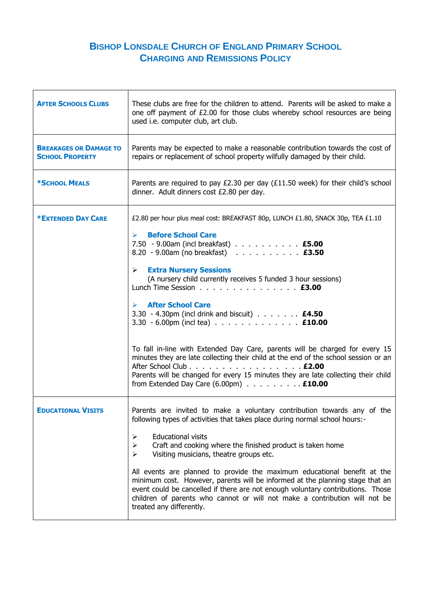## **BISHOP LONSDALE CHURCH OF ENGLAND PRIMARY SCHOOL CHARGING AND REMISSIONS POLICY**

| <b>AFTER SCHOOLS CLUBS</b>                              | These clubs are free for the children to attend. Parents will be asked to make a<br>one off payment of £2.00 for those clubs whereby school resources are being<br>used i.e. computer club, art club.                                                                                                                                                                                                                                                                                                                                                                                                                                                                                                                                                                                                                                              |
|---------------------------------------------------------|----------------------------------------------------------------------------------------------------------------------------------------------------------------------------------------------------------------------------------------------------------------------------------------------------------------------------------------------------------------------------------------------------------------------------------------------------------------------------------------------------------------------------------------------------------------------------------------------------------------------------------------------------------------------------------------------------------------------------------------------------------------------------------------------------------------------------------------------------|
| <b>BREAKAGES OR DAMAGE TO</b><br><b>SCHOOL PROPERTY</b> | Parents may be expected to make a reasonable contribution towards the cost of<br>repairs or replacement of school property wilfully damaged by their child.                                                                                                                                                                                                                                                                                                                                                                                                                                                                                                                                                                                                                                                                                        |
| *SCHOOL MEALS                                           | Parents are required to pay £2.30 per day (£11.50 week) for their child's school<br>dinner. Adult dinners cost £2.80 per day.                                                                                                                                                                                                                                                                                                                                                                                                                                                                                                                                                                                                                                                                                                                      |
| <b>*EXTENDED DAY CARE</b>                               | £2.80 per hour plus meal cost: BREAKFAST 80p, LUNCH £1.80, SNACK 30p, TEA £1.10<br><b>Before School Care</b><br>➤<br>7.50 - 9.00am (incl breakfast) <b>£5.00</b><br>8.20 - 9.00am (no breakfast) <b>£3.50</b><br><b>Extra Nursery Sessions</b><br>⋗<br>(A nursery child currently receives 5 funded 3 hour sessions)<br>Lunch Time Session <b>£3.00</b><br><b>After School Care</b><br>➤<br>3.30 - 4.30pm (incl drink and biscuit) <b>£4.50</b><br>3.30 - 6.00pm (incl tea) <b>£10.00</b><br>To fall in-line with Extended Day Care, parents will be charged for every 15<br>minutes they are late collecting their child at the end of the school session or an<br>After School Club <b>£2.00</b><br>Parents will be changed for every 15 minutes they are late collecting their child<br>from Extended Day Care $(6.00 \text{pm})$ <b>£10.00</b> |
| <b>EDUCATIONAL VISITS</b>                               | Parents are invited to make a voluntary contribution towards any of the<br>following types of activities that takes place during normal school hours:-<br><b>Educational visits</b><br>➤<br>Craft and cooking where the finished product is taken home<br>➤<br>Visiting musicians, theatre groups etc.<br>➤<br>All events are planned to provide the maximum educational benefit at the<br>minimum cost. However, parents will be informed at the planning stage that an<br>event could be cancelled if there are not enough voluntary contributions. Those<br>children of parents who cannot or will not make a contribution will not be<br>treated any differently.                                                                                                                                                                              |